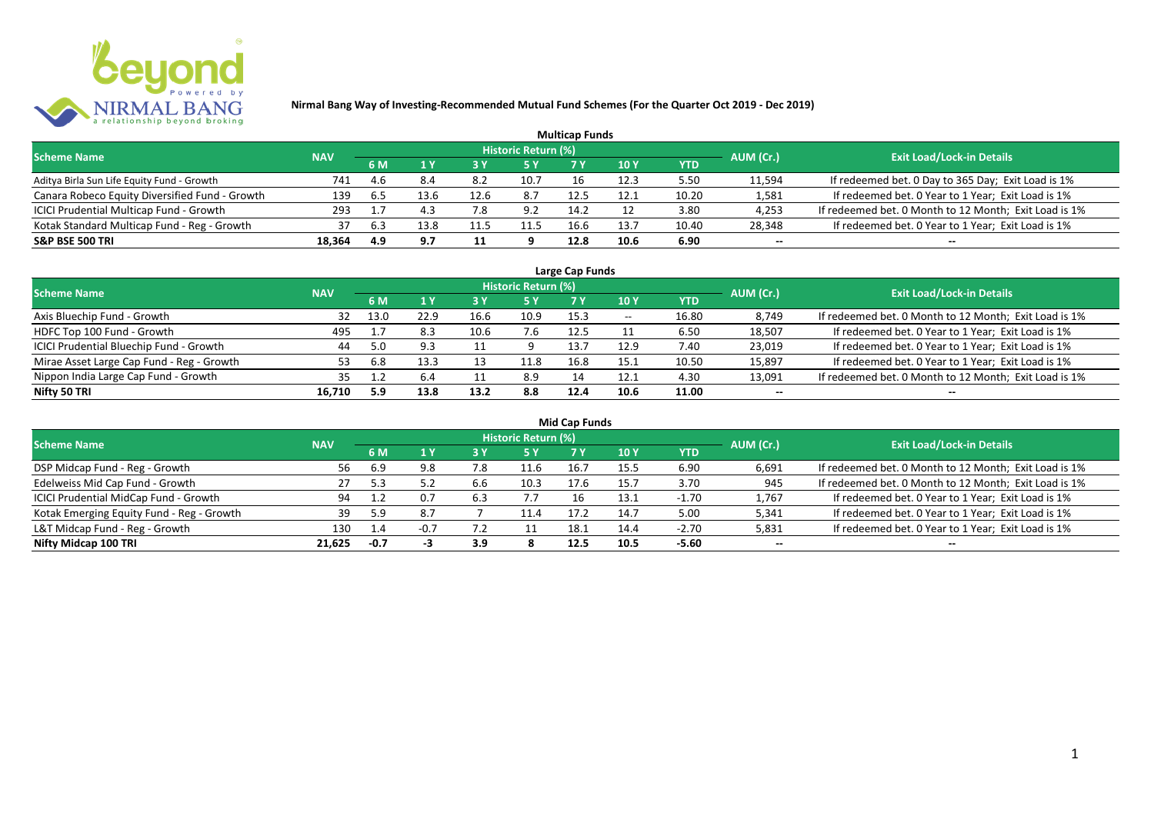

|                                                |            |     |      |      |                     | <b>Multicap Funds</b> |      |       |           |                                                       |
|------------------------------------------------|------------|-----|------|------|---------------------|-----------------------|------|-------|-----------|-------------------------------------------------------|
| <b>Scheme Name</b>                             | <b>NAV</b> |     |      |      | Historic Return (%) |                       |      |       | AUM (Cr.) | <b>Exit Load/Lock-in Details</b>                      |
|                                                |            | 6 M |      |      |                     |                       | 10 Y | YTD   |           |                                                       |
| Aditya Birla Sun Life Equity Fund - Growth     | 741        | 4.6 | 8.4  | 8.2  | 10.7                |                       | 12.3 | 5.50  | 11,594    | If redeemed bet. 0 Day to 365 Day; Exit Load is 1%    |
| Canara Robeco Equity Diversified Fund - Growth | 139        | 6.5 | 13.6 | 12.6 | 8.7                 | 12.5                  | 12.1 | 10.20 | 1,581     | If redeemed bet. 0 Year to 1 Year; Exit Load is 1%    |
| ICICI Prudential Multicap Fund - Growth        | 293        |     |      | '.8  | 9.2                 | 14.2                  |      | 3.80  | 4,253     | If redeemed bet. 0 Month to 12 Month; Exit Load is 1% |
| Kotak Standard Multicap Fund - Reg - Growth    | 37         | 6.3 | 13.8 |      | 11.5                | 16.6                  | 13.7 | 10.40 | 28,348    | If redeemed bet. 0 Year to 1 Year; Exit Load is 1%    |
| <b>S&amp;P BSE 500 TRI</b>                     | 18.364     | 4.9 | 9.7  | 11   |                     | 12.8                  | 10.6 | 6.90  | --        | $- -$                                                 |

| Large Cap Funds                           |            |           |      |      |                            |      |                          |       |           |                                                       |  |  |  |
|-------------------------------------------|------------|-----------|------|------|----------------------------|------|--------------------------|-------|-----------|-------------------------------------------------------|--|--|--|
| <b>Scheme Name</b>                        | <b>NAV</b> |           |      |      | <b>Historic Return (%)</b> |      |                          |       | AUM (Cr.) | <b>Exit Load/Lock-in Details</b>                      |  |  |  |
|                                           |            | <b>6M</b> |      |      | <b>5 Y</b>                 | 7 Y  | 10Y                      | YTD   |           |                                                       |  |  |  |
| Axis Bluechip Fund - Growth               | 32         | 13.0      | 22.9 | 16.6 | 10.9                       | 15.3 | $\overline{\phantom{a}}$ | 16.80 | 8,749     | If redeemed bet. 0 Month to 12 Month; Exit Load is 1% |  |  |  |
| HDFC Top 100 Fund - Growth                | 495        |           | 8.3  |      | 7.6                        | 12.5 |                          | 6.50  | 18,507    | If redeemed bet. 0 Year to 1 Year; Exit Load is 1%    |  |  |  |
| ICICI Prudential Bluechip Fund - Growth   | 44         | 5.0       |      |      |                            | 13.7 | 12.9                     | 7.40  | 23,019    | If redeemed bet. 0 Year to 1 Year; Exit Load is 1%    |  |  |  |
| Mirae Asset Large Cap Fund - Reg - Growth | 53         | 6.8       | 13.3 |      | 11.8                       | 16.8 | 15.1                     | 10.50 | 15,897    | If redeemed bet. 0 Year to 1 Year; Exit Load is 1%    |  |  |  |
| Nippon India Large Cap Fund - Growth      | 35         |           | 6.4  |      | 8.9                        |      | 12.1                     | 4.30  | 13,091    | If redeemed bet. 0 Month to 12 Month; Exit Load is 1% |  |  |  |
| Nifty 50 TRI                              | 16.710     | 5.9       | 13.8 | 13.2 | 8.8                        | 12.4 | 10.6                     | 11.00 | $- -$     | $- -$                                                 |  |  |  |

| <b>Mid Cap Funds</b>                      |            |        |        |     |                            |      |      |            |           |                                                       |  |  |  |
|-------------------------------------------|------------|--------|--------|-----|----------------------------|------|------|------------|-----------|-------------------------------------------------------|--|--|--|
| <b>Scheme Name</b>                        | <b>NAV</b> |        |        |     | <b>Historic Return (%)</b> |      |      |            | AUM (Cr.) | <b>Exit Load/Lock-in Details</b>                      |  |  |  |
|                                           |            | 6 M    |        |     | <b>5 Y</b>                 |      | 10 Y | <b>YTD</b> |           |                                                       |  |  |  |
| DSP Midcap Fund - Reg - Growth            | 56         | 6.9    | 9.8    | 7.8 | 11.6                       | 16.7 | 15.5 | 6.90       | 6,691     | If redeemed bet. 0 Month to 12 Month; Exit Load is 1% |  |  |  |
| Edelweiss Mid Cap Fund - Growth           | 27         | 5.3    |        | 6.6 | 10.3                       | 17.6 | 15.7 | 3.70       | 945       | If redeemed bet. 0 Month to 12 Month; Exit Load is 1% |  |  |  |
| ICICI Prudential MidCap Fund - Growth     | 94         |        | 0.7    | 6.3 | 7.7                        |      | 13.1 | $-1.70$    | 1,767     | If redeemed bet. 0 Year to 1 Year; Exit Load is 1%    |  |  |  |
| Kotak Emerging Equity Fund - Reg - Growth | 39         |        | 8.7    |     | 11.4                       | 17.2 | 14.7 | 5.00       | 5,341     | If redeemed bet. 0 Year to 1 Year; Exit Load is 1%    |  |  |  |
| L&T Midcap Fund - Reg - Growth            | 130        | 1.4    | $-0.7$ |     |                            | 18.1 | 14.4 | $-2.70$    | 5,831     | If redeemed bet. 0 Year to 1 Year; Exit Load is 1%    |  |  |  |
| Nifty Midcap 100 TRI                      | 21.625     | $-0.7$ |        | 3.9 |                            | 12.5 | 10.5 | $-5.60$    | $- -$     | $- -$                                                 |  |  |  |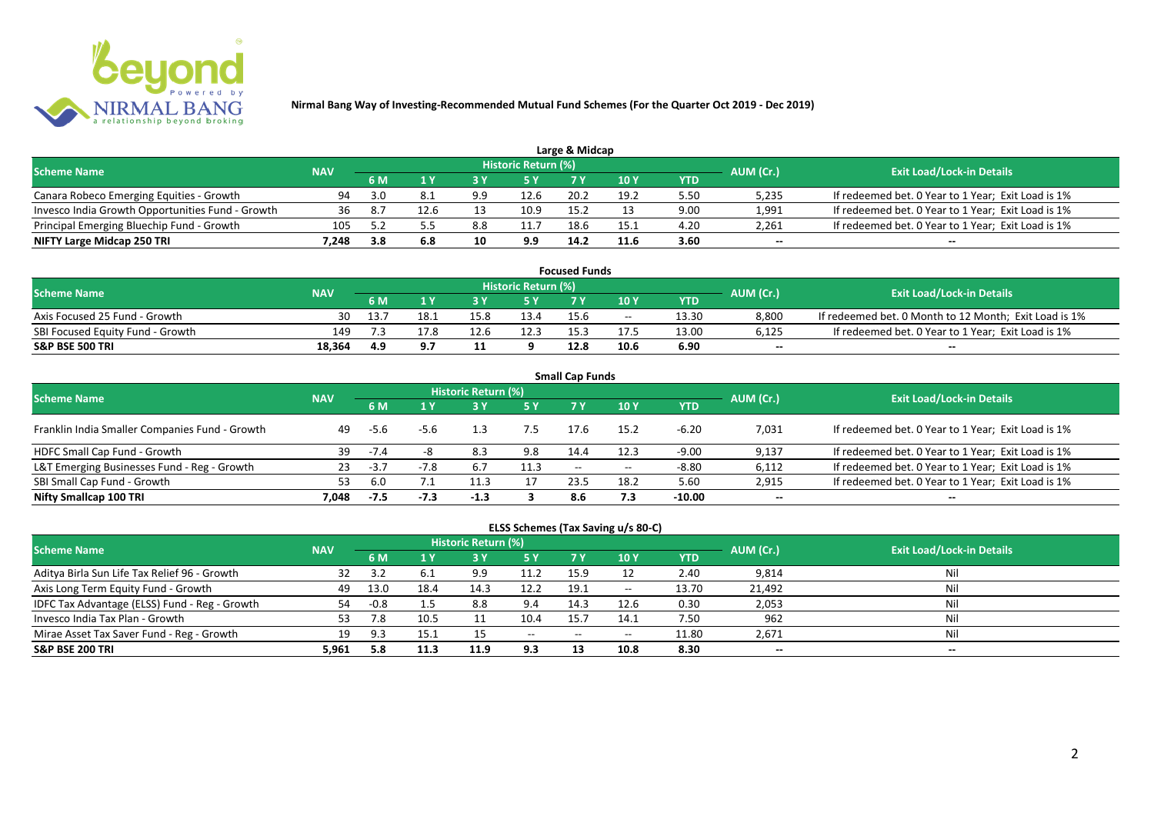

|                                                  |            |      |      |     |                            | Large & Midcap |      |      |           |                                                    |
|--------------------------------------------------|------------|------|------|-----|----------------------------|----------------|------|------|-----------|----------------------------------------------------|
| <b>Scheme Name</b>                               | <b>NAV</b> |      |      |     | <b>Historic Return (%)</b> |                |      |      | AUM (Cr.) | <b>Exit Load/Lock-in Details</b>                   |
|                                                  |            | 6 M  |      |     | 5 Y                        |                |      | YTD  |           |                                                    |
| Canara Robeco Emerging Equities - Growth         | 94         | 3.0  |      | 9.9 | 12.6                       | 20.2           | 19.2 | 5.50 | 5,235     | If redeemed bet. 0 Year to 1 Year; Exit Load is 1% |
| Invesco India Growth Opportunities Fund - Growth |            | - 8. | 12.6 |     | 10.9                       | 15.2           |      | 9.00 | 1,991     | If redeemed bet. 0 Year to 1 Year; Exit Load is 1% |
| Principal Emerging Bluechip Fund - Growth        | 105        |      |      | 8.8 |                            | 18.6           | 15.1 | 4.20 | 2.261     | If redeemed bet. 0 Year to 1 Year; Exit Load is 1% |
| NIFTY Large Midcap 250 TRI                       | 7.248      | 3.8  | 6.8  | 10  | 9.9                        | 14.2           | 11.6 | 3.60 | $- -$     | $- -$                                              |

| <b>Focused Funds</b>             |            |      |      |      |                            |      |       |       |           |                                                       |  |  |  |
|----------------------------------|------------|------|------|------|----------------------------|------|-------|-------|-----------|-------------------------------------------------------|--|--|--|
| <b>Scheme Name</b>               | <b>NAV</b> |      |      |      | <b>Historic Return (%)</b> |      |       |       | AUM (Cr.) | <b>Exit Load/Lock-in Details</b>                      |  |  |  |
|                                  |            | 6 M  |      |      | 5 Y                        |      | 10 Y  | YTD   |           |                                                       |  |  |  |
| Axis Focused 25 Fund - Growth    | 30         | 13.7 | 18.1 | 15.8 | 13.4                       | 15.6 | $- -$ | 13.30 | 8,800     | If redeemed bet. 0 Month to 12 Month; Exit Load is 1% |  |  |  |
| SBI Focused Equity Fund - Growth | 149        |      | 17.8 | 12.6 | 12.3                       |      |       | 13.00 | 6,125     | If redeemed bet. 0 Year to 1 Year; Exit Load is 1%    |  |  |  |
| <b>S&amp;P BSE 500 TRI</b>       | 18,364     | 4.9  | J.I  |      |                            | 12.8 | 10.6  | 6.90  | $- -$     | $-$                                                   |  |  |  |

| <b>Small Cap Funds</b>                         |            |        |        |                     |      |                   |       |            |           |                                                    |  |  |  |
|------------------------------------------------|------------|--------|--------|---------------------|------|-------------------|-------|------------|-----------|----------------------------------------------------|--|--|--|
| <b>Scheme Name</b>                             | <b>NAV</b> |        |        | Historic Return (%) |      |                   |       |            | AUM (Cr.) | <b>Exit Load/Lock-in Details</b>                   |  |  |  |
|                                                |            |        |        |                     | 5 Y  | 7 Y               | 10Y   | <b>YTD</b> |           |                                                    |  |  |  |
| Franklin India Smaller Companies Fund - Growth | 49         | -5.6   | -5.6   | 1.3                 |      | 17.6              | 15.2  | $-6.20$    | 7,031     | If redeemed bet. 0 Year to 1 Year; Exit Load is 1% |  |  |  |
| HDFC Small Cap Fund - Growth                   | 39         | $-7.4$ |        | 8.3                 | 9.8  | 14.4              | 12.3  | $-9.00$    | 9,137     | If redeemed bet. 0 Year to 1 Year; Exit Load is 1% |  |  |  |
| L&T Emerging Businesses Fund - Reg - Growth    | 23         | $-3.7$ | $-7.8$ | 6.7                 | 11.3 | $\hspace{0.05cm}$ | $- -$ | $-8.80$    | 6,112     | If redeemed bet. 0 Year to 1 Year; Exit Load is 1% |  |  |  |
| SBI Small Cap Fund - Growth                    |            | 6.0    | 7.1    |                     |      | 23.5              | 18.2  | 5.60       | 2,915     | If redeemed bet. 0 Year to 1 Year; Exit Load is 1% |  |  |  |
| Nifty Smallcap 100 TRI                         | 7.048      | $-7.5$ | $-7.3$ | $-1.3$              |      | 8.6               | 7.3   | $-10.00$   | $- -$     | --                                                 |  |  |  |

## **ELSS Schemes (Tax Saving u/s 80-C)**

| <b>Scheme Name</b>                            | <b>NAV</b> |        |      | <b>Historic Return (%)</b> |           |       |            |       | AUM (Cr.) | <b>Exit Load/Lock-in Details</b> |
|-----------------------------------------------|------------|--------|------|----------------------------|-----------|-------|------------|-------|-----------|----------------------------------|
|                                               |            | 6 M    |      |                            | <b>5Y</b> | 7 Y   | <b>10Y</b> | YTD   |           |                                  |
| Aditya Birla Sun Life Tax Relief 96 - Growth  | 32         |        | -6.1 | 9.9                        | 11.2      | 15.9  |            | 2.40  | 9,814     | Nil                              |
| Axis Long Term Equity Fund - Growth           | 49         | 13.0   | 18.4 | 14.3                       | 12.2      | 19.1  | $- -$      | 13.70 | 21,492    | Nil                              |
| IDFC Tax Advantage (ELSS) Fund - Reg - Growth | 54         | $-0.8$ |      | 8.8                        | 9.4       | 14.3  | 12.6       | 0.30  | 2,053     | Nil                              |
| Invesco India Tax Plan - Growth               | 53         | 7.8    | 10.5 |                            | 10.4      | 15.7  | 14.1       | 7.50  | 962       | Nil                              |
| Mirae Asset Tax Saver Fund - Reg - Growth     | 19         | 9.3    | 15.1 |                            | $- -$     | $- -$ | $- -$      | 11.80 | 2,671     | Nil                              |
| <b>S&amp;P BSE 200 TRI</b>                    | 5.961      | 5.8    | 11.3 | 11.9                       | 9.3       |       | 10.8       | 8.30  | $- -$     | $- -$                            |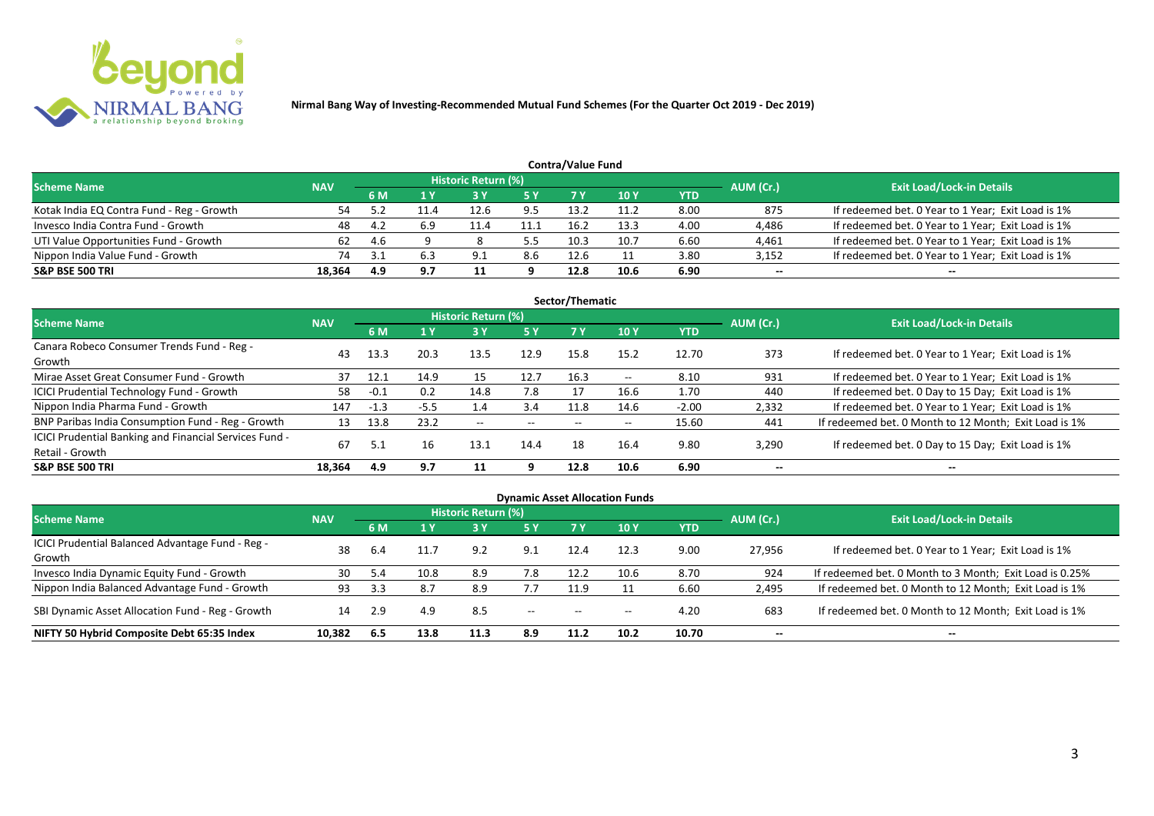

|                                           |            |      |     |                            |      | <b>Contra/Value Fund</b> |      |            |           |                                                    |
|-------------------------------------------|------------|------|-----|----------------------------|------|--------------------------|------|------------|-----------|----------------------------------------------------|
| <b>Scheme Name</b>                        | <b>NAV</b> |      |     | <b>Historic Return (%)</b> |      |                          |      |            | AUM (Cr.) | <b>Exit Load/Lock-in Details</b>                   |
|                                           |            | 6 M  | 1 Y |                            | 5 Y  | 7 Y                      | 10Y  | <b>YTD</b> |           |                                                    |
| Kotak India EQ Contra Fund - Reg - Growth | 54         |      |     | 12.6                       | 9.5  | 13.2                     | 11.2 | 8.00       | 875       | If redeemed bet. 0 Year to 1 Year; Exit Load is 1% |
| Invesco India Contra Fund - Growth        | 48         | -4.2 | 6.9 | 11.4                       | 11.1 | 16.2                     | 13.3 | 4.00       | 4,486     | If redeemed bet. 0 Year to 1 Year; Exit Load is 1% |
| UTI Value Opportunities Fund - Growth     | 62         | -4.6 |     |                            | _ հ  | 10.3                     | 10.7 | 6.60       | 4,461     | If redeemed bet. 0 Year to 1 Year; Exit Load is 1% |
| Nippon India Value Fund - Growth          | 74         |      |     | 9.1                        | 8.6  | 12.6                     |      | 3.80       | 3,152     | If redeemed bet. 0 Year to 1 Year; Exit Load is 1% |
| S&P BSE 500 TRI                           | 18.364     | 4.9  | 9.7 |                            |      | 12.8                     | 10.6 | 6.90       | $- -$     | $-$                                                |

| Sector/Thematic                                                           |            |        |        |                            |           |      |       |            |           |                                                       |  |  |  |  |
|---------------------------------------------------------------------------|------------|--------|--------|----------------------------|-----------|------|-------|------------|-----------|-------------------------------------------------------|--|--|--|--|
| Scheme Name                                                               | <b>NAV</b> |        |        | <b>Historic Return (%)</b> |           |      |       |            | AUM (Cr.) | <b>Exit Load/Lock-in Details</b>                      |  |  |  |  |
|                                                                           |            | 6 M    | 1Y     | 3 Y                        | <b>5Y</b> | 7 Y  | 10Y   | <b>YTD</b> |           |                                                       |  |  |  |  |
| Canara Robeco Consumer Trends Fund - Reg -<br>Growth                      | 43         | 13.3   | 20.3   | 13.5                       | 12.9      | 15.8 | 15.2  | 12.70      | 373       | If redeemed bet. 0 Year to 1 Year; Exit Load is 1%    |  |  |  |  |
| Mirae Asset Great Consumer Fund - Growth                                  | 37         | 12.1   | 14.9   | 15                         | 12.7      | 16.3 | $- -$ | 8.10       | 931       | If redeemed bet. 0 Year to 1 Year; Exit Load is 1%    |  |  |  |  |
| <b>ICICI Prudential Technology Fund - Growth</b>                          | 58         | $-0.1$ | 0.2    | 14.8                       | 7.8       | 17   | 16.6  | 1.70       | 440       | If redeemed bet. 0 Day to 15 Day; Exit Load is 1%     |  |  |  |  |
| Nippon India Pharma Fund - Growth                                         | 147        | $-1.3$ | $-5.5$ | 1.4                        | 3.4       | 11.8 | 14.6  | $-2.00$    | 2,332     | If redeemed bet. 0 Year to 1 Year; Exit Load is 1%    |  |  |  |  |
| BNP Paribas India Consumption Fund - Reg - Growth                         | 13         | 13.8   | 23.2   | $- -$                      | $- -$     | $-$  | $- -$ | 15.60      | 441       | If redeemed bet. 0 Month to 12 Month; Exit Load is 1% |  |  |  |  |
| ICICI Prudential Banking and Financial Services Fund -<br>Retail - Growth | 67         |        | 16     | 13.1                       | 14.4      | 18   | 16.4  | 9.80       | 3,290     | If redeemed bet. 0 Day to 15 Day; Exit Load is 1%     |  |  |  |  |
| <b>S&amp;P BSE 500 TRI</b>                                                | 18.364     | 4.9    | 9.7    |                            | q         | 12.8 | 10.6  | 6.90       | --        | --                                                    |  |  |  |  |

|                                                            |            |           |      |                            |                          |                          | <b>Dynamic Asset Allocation Funds</b> |            |           |                                                         |
|------------------------------------------------------------|------------|-----------|------|----------------------------|--------------------------|--------------------------|---------------------------------------|------------|-----------|---------------------------------------------------------|
| Scheme Name                                                | <b>NAV</b> |           |      | <b>Historic Return (%)</b> |                          |                          |                                       |            |           | <b>Exit Load/Lock-in Details</b>                        |
|                                                            |            | <b>6M</b> | 1 Y  | 3 Y                        | 5 Y                      | <b>7Y</b>                | <b>10Y</b>                            | <b>YTD</b> | AUM (Cr.) |                                                         |
| ICICI Prudential Balanced Advantage Fund - Reg -<br>Growth | 38         | 6.4       | 11.7 | 9.2                        | 9.1                      | 12.4                     | 12.3                                  | 9.00       | 27,956    | If redeemed bet. 0 Year to 1 Year; Exit Load is 1%      |
| Invesco India Dynamic Equity Fund - Growth                 | 30         | 5.4       | 10.8 | 8.9                        | 7.8                      | 12.2                     | 10.6                                  | 8.70       | 924       | If redeemed bet. 0 Month to 3 Month; Exit Load is 0.25% |
| Nippon India Balanced Advantage Fund - Growth              | 93         | 3.3       |      | 8.9                        | 7.7                      | 11.9                     |                                       | 6.60       | 2,495     | If redeemed bet. 0 Month to 12 Month; Exit Load is 1%   |
| SBI Dynamic Asset Allocation Fund - Reg - Growth           | 14         | 2.9       | 4.9  | 8.5                        | $\overline{\phantom{a}}$ | $\overline{\phantom{a}}$ | $- -$                                 | 4.20       | 683       | If redeemed bet. 0 Month to 12 Month; Exit Load is 1%   |
| NIFTY 50 Hybrid Composite Debt 65:35 Index                 | 10,382     | 6.5       | 13.8 | 11.3                       | 8.9                      | 11.2                     | 10.2                                  | 10.70      | $- -$     | $- -$                                                   |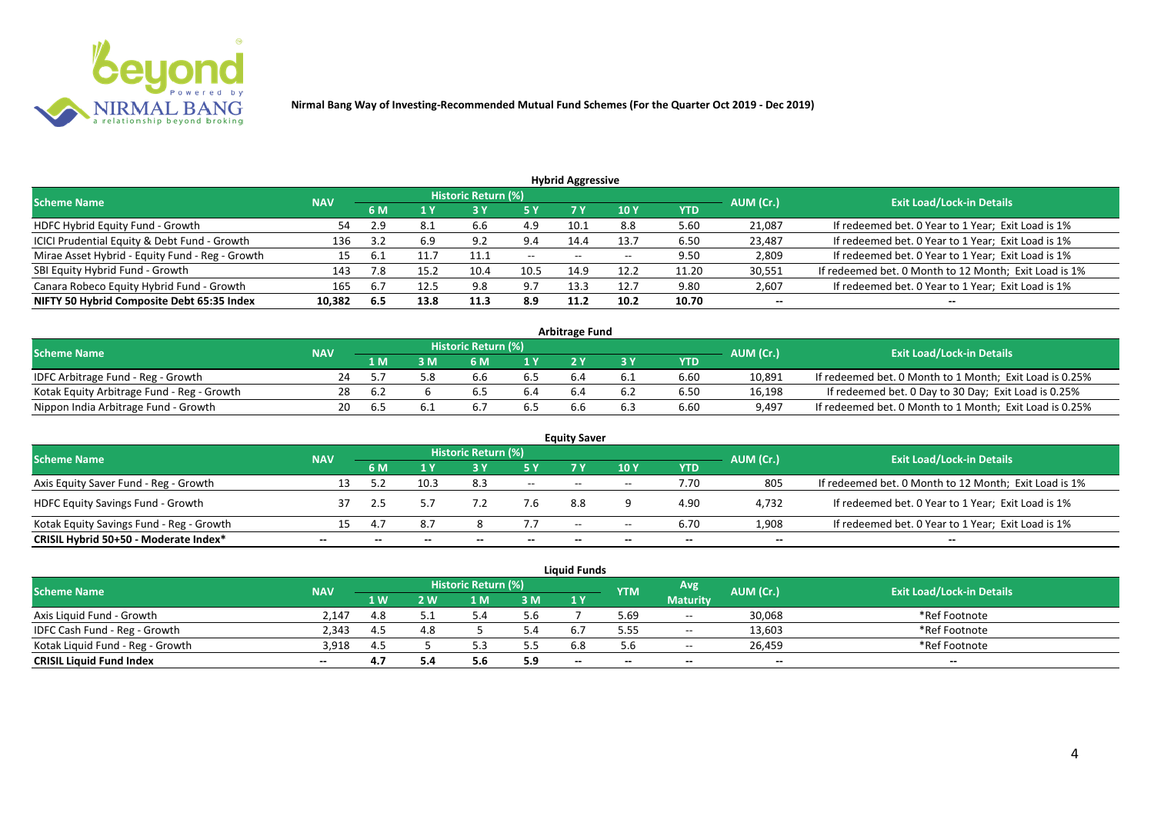

| <b>Hybrid Aggressive</b>                        |            |     |      |                            |               |       |       |            |           |                                                       |  |  |  |  |
|-------------------------------------------------|------------|-----|------|----------------------------|---------------|-------|-------|------------|-----------|-------------------------------------------------------|--|--|--|--|
| <b>Scheme Name</b>                              | <b>NAV</b> |     |      | <b>Historic Return (%)</b> |               |       |       |            | AUM (Cr.) | <b>Exit Load/Lock-in Details</b>                      |  |  |  |  |
|                                                 |            | 6 M | 1 Y  | <b>3 Y</b>                 | <b>5 Y</b>    | 7 Y   | 10 Y  | <b>YTD</b> |           |                                                       |  |  |  |  |
| HDFC Hybrid Equity Fund - Growth                | 54         | 2.9 | 8.1  | 6.6                        | 4.9           | 10.1  | 8.8   | 5.60       | 21,087    | If redeemed bet. 0 Year to 1 Year; Exit Load is 1%    |  |  |  |  |
| ICICI Prudential Equity & Debt Fund - Growth    | 136        | 3.2 | 6.9  | 9.2                        | 9.4           | 14.4  | 13.7  | 6.50       | 23,487    | If redeemed bet. 0 Year to 1 Year; Exit Load is 1%    |  |  |  |  |
| Mirae Asset Hybrid - Equity Fund - Reg - Growth | 15         |     | 11.7 | 11.1                       | $\sim$ $\sim$ | $- -$ | $- -$ | 9.50       | 2,809     | If redeemed bet. 0 Year to 1 Year; Exit Load is 1%    |  |  |  |  |
| SBI Equity Hybrid Fund - Growth                 | 143        | 7.8 | 15.2 | 10.4                       | 10.5          | 14.9  | 12.2  | 11.20      | 30,551    | If redeemed bet. 0 Month to 12 Month; Exit Load is 1% |  |  |  |  |
| Canara Robeco Equity Hybrid Fund - Growth       | 165        | 6.7 | 12.5 | 9.8                        | 9.7           | 13.3  | 12.7  | 9.80       | 2,607     | If redeemed bet. 0 Year to 1 Year; Exit Load is 1%    |  |  |  |  |
| NIFTY 50 Hybrid Composite Debt 65:35 Index      | 10,382     | 6.5 | 13.8 | 11.3                       | 8.9           | 11.2  | 10.2  | 10.70      | $- -$     | $- -$                                                 |  |  |  |  |

| <b>Arbitrage Fund</b>                      |            |     |   |                            |     |  |  |            |           |                                                         |  |  |  |
|--------------------------------------------|------------|-----|---|----------------------------|-----|--|--|------------|-----------|---------------------------------------------------------|--|--|--|
| <b>Scheme Name</b>                         | <b>NAV</b> |     |   | <b>Historic Return (%)</b> |     |  |  |            | AUM (Cr.) | <b>Exit Load/Lock-in Details</b>                        |  |  |  |
|                                            |            | 1 M | M | 6 M                        | 1 V |  |  | <b>YTD</b> |           |                                                         |  |  |  |
| IDFC Arbitrage Fund - Reg - Growth         |            |     |   |                            |     |  |  | 6.60       | 10,891    | If redeemed bet. 0 Month to 1 Month; Exit Load is 0.25% |  |  |  |
| Kotak Equity Arbitrage Fund - Reg - Growth | 28         | 6.4 |   |                            |     |  |  | 6.50       | 16,198    | If redeemed bet. 0 Day to 30 Day; Exit Load is 0.25%    |  |  |  |
| Nippon India Arbitrage Fund - Growth       | 20.        |     |   |                            |     |  |  | 6.60       | 9,497     | If redeemed bet. 0 Month to 1 Month; Exit Load is 0.25% |  |  |  |

| <b>Equity Saver</b>                      |            |     |      |                     |       |                          |       |            |           |                                                       |  |  |  |  |
|------------------------------------------|------------|-----|------|---------------------|-------|--------------------------|-------|------------|-----------|-------------------------------------------------------|--|--|--|--|
| <b>Scheme Name</b>                       | <b>NAV</b> |     |      | Historic Return (%) |       |                          |       |            | AUM (Cr.) | <b>Exit Load/Lock-in Details</b>                      |  |  |  |  |
|                                          |            | 6 M |      |                     |       | 7 V                      | 10Y   | <b>YTD</b> |           |                                                       |  |  |  |  |
| Axis Equity Saver Fund - Reg - Growth    |            |     | 10.3 | 8.3                 | $ -$  | $-$                      | $-$   | 7.70       | 805       | If redeemed bet. 0 Month to 12 Month; Exit Load is 1% |  |  |  |  |
| <b>HDFC Equity Savings Fund - Growth</b> |            |     |      |                     | 7.6   | 8.8                      |       | 4.90       | 4,732     | If redeemed bet. 0 Year to 1 Year; Exit Load is 1%    |  |  |  |  |
| Kotak Equity Savings Fund - Reg - Growth |            |     | 8.7  |                     |       | $\overline{\phantom{a}}$ | $- -$ | 6.70       | 1,908     | If redeemed bet. 0 Year to 1 Year; Exit Load is 1%    |  |  |  |  |
| CRISIL Hybrid 50+50 - Moderate Index*    |            |     |      |                     | $- -$ |                          | --    |            | $- -$     |                                                       |  |  |  |  |

| <b>Liquid Funds</b>              |            |            |     |                     |     |       |                                |                 |        |                                  |  |  |  |
|----------------------------------|------------|------------|-----|---------------------|-----|-------|--------------------------------|-----------------|--------|----------------------------------|--|--|--|
| <b>Scheme Name</b>               | <b>NAV</b> |            |     | Historic Return (%) |     |       | Avg<br>AUM (Cr.)<br><b>YTM</b> |                 |        | <b>Exit Load/Lock-in Details</b> |  |  |  |
|                                  |            | <b>1 W</b> | 2 W | 1 M                 | 3M  | 1 Y   |                                | <b>Maturity</b> |        |                                  |  |  |  |
| Axis Liquid Fund - Growth        | 2.147      | 4.8        |     |                     | 5.6 |       | 5.69                           | $ -$            | 30,068 | *Ref Footnote                    |  |  |  |
| IDFC Cash Fund - Reg - Growth    | 2.343      | -4.5       |     |                     | 4.د |       | 5.55                           | $\sim$          | 13,603 | *Ref Footnote                    |  |  |  |
| Kotak Liquid Fund - Reg - Growth | 3.918      | 4.5        |     |                     | 5.5 |       | 5.6                            | $- -$           | 26.459 | *Ref Footnote                    |  |  |  |
| <b>CRISIL Liquid Fund Index</b>  | $- -$      | 4.7        |     | <b></b>             | 5.9 | $- -$ |                                | $- -$           | $- -$  | $- -$                            |  |  |  |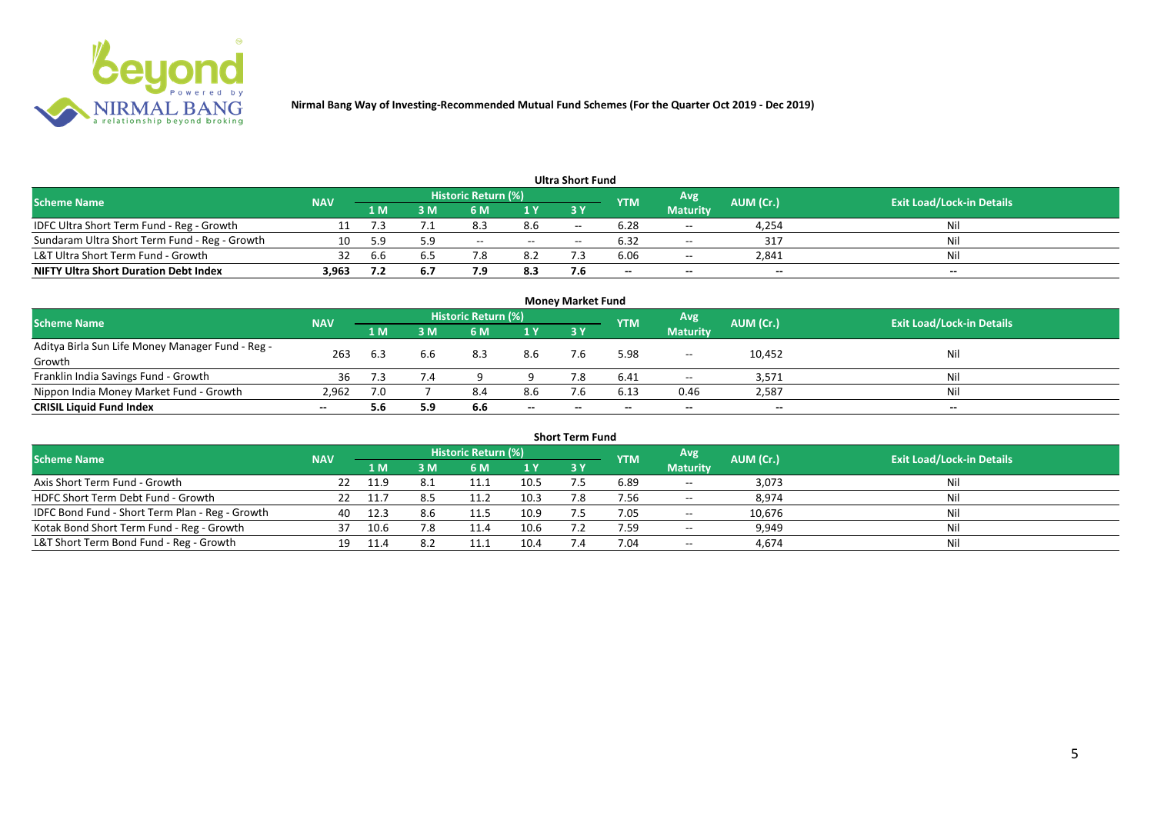

| <b>Ultra Short Fund</b>                       |            |     |                                                              |       |        |                                  |                          |                 |       |       |  |  |  |  |
|-----------------------------------------------|------------|-----|--------------------------------------------------------------|-------|--------|----------------------------------|--------------------------|-----------------|-------|-------|--|--|--|--|
| <b>Scheme Name</b>                            | <b>NAV</b> |     | <b>Historic Return (%)</b><br>Avg<br>AUM (Cr.)<br><b>YTM</b> |       |        | <b>Exit Load/Lock-in Details</b> |                          |                 |       |       |  |  |  |  |
|                                               |            | 1 M | : M                                                          | 6 M   | 1 Y    | 3 Y                              |                          | <b>Maturity</b> |       |       |  |  |  |  |
| IDFC Ultra Short Term Fund - Reg - Growth     |            |     |                                                              | 8.3   | 8.6    | $\overline{\phantom{a}}$         | 6.28                     | $-$             | 4,254 | Nil   |  |  |  |  |
| Sundaram Ultra Short Term Fund - Reg - Growth | 10         | 59  | 5.9                                                          | $- -$ | $  \,$ | $\overline{\phantom{a}}$         | 6.32                     | $\sim$ $\sim$   | 317   | Nil   |  |  |  |  |
| L&T Ultra Short Term Fund - Growth            | 32         | b.b | 6.5                                                          |       | 8.2    |                                  | 6.06                     | $\sim$          | 2,841 | Nil   |  |  |  |  |
| <b>NIFTY Ultra Short Duration Debt Index</b>  | 3,963      |     | 6.7                                                          | 7.9   | 8.3    |                                  | $\overline{\phantom{a}}$ | $- -$           | $- -$ | $- -$ |  |  |  |  |

| <b>Money Market Fund</b>                                   |            |      |     |                     |       |       |            |                 |           |                                  |  |  |  |
|------------------------------------------------------------|------------|------|-----|---------------------|-------|-------|------------|-----------------|-----------|----------------------------------|--|--|--|
| <b>Scheme Name</b>                                         | <b>NAV</b> |      |     | Historic Return (%) |       |       | <b>YTM</b> | Avg             | AUM (Cr.) | <b>Exit Load/Lock-in Details</b> |  |  |  |
|                                                            |            | '1 M | M   | 6 M                 | 1Y    | 3 Y   |            | <b>Maturity</b> |           |                                  |  |  |  |
| Aditya Birla Sun Life Money Manager Fund - Reg -<br>Growth | 263        | 6.3  | 6.6 | 8.3                 | 8.6   |       | 5.98       | $- -$           | 10,452    | Nil                              |  |  |  |
| Franklin India Savings Fund - Growth                       | 36         |      | 7.4 |                     |       |       | 6.41       | $- -$           | 3,571     | Nil                              |  |  |  |
| Nippon India Money Market Fund - Growth                    | 2.962      | 7.0  |     | 8.4                 | 8.6   |       | 6.13       | 0.46            | 2,587     | Nil                              |  |  |  |
| <b>CRISIL Liquid Fund Index</b>                            | $- -$      | 5.6  | 5.9 | 6.6                 | $- -$ | $- -$ | $- -$      | $- -$           | $- -$     | $- -$                            |  |  |  |

| <b>Short Term Fund</b>                          |            |        |     |                            |      |           |            |                 |           |                                  |  |  |  |
|-------------------------------------------------|------------|--------|-----|----------------------------|------|-----------|------------|-----------------|-----------|----------------------------------|--|--|--|
| <b>Scheme Name</b>                              | <b>NAV</b> |        |     | <b>Historic Return (%)</b> |      |           | <b>YTM</b> | Avg             | AUM (Cr.) | <b>Exit Load/Lock-in Details</b> |  |  |  |
|                                                 |            | 1 M    | 3 M | <b>6M</b>                  | 1Y   | <b>3Y</b> |            | <b>Maturity</b> |           |                                  |  |  |  |
| Axis Short Term Fund - Growth                   | 22         | - 11.9 |     |                            | 10.5 |           | 6.89       | $\sim$          | 3,073     | Nil                              |  |  |  |
| HDFC Short Term Debt Fund - Growth              |            |        |     | 11.2                       | 10.3 | 7.8       | 7.56       | $\sim$ $-$      | 8,974     | Nil                              |  |  |  |
| IDFC Bond Fund - Short Term Plan - Reg - Growth | 40         | 12.3   | 8.b | 11.5                       | 10.9 |           | 7.05       | $\sim$          | 10,676    | Nil                              |  |  |  |
| Kotak Bond Short Term Fund - Reg - Growth       | 37         | 10.6   | 7.8 | 11.4                       | 10.6 |           | 7.59       | $\sim$ $\sim$   | 9,949     | Nil                              |  |  |  |
| L&T Short Term Bond Fund - Reg - Growth         | 19         |        |     |                            | 10.4 |           | 7.04       | $\sim$ $-$      | 4,674     | Nil                              |  |  |  |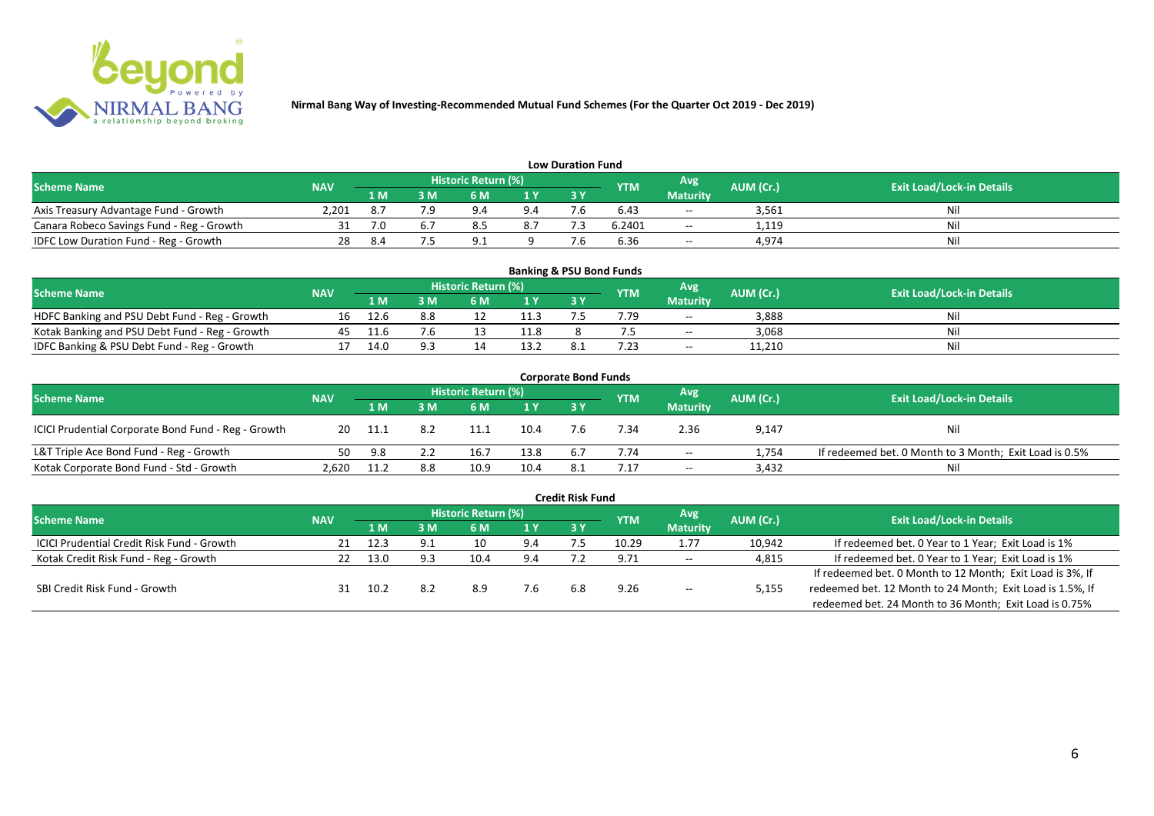

| <b>Low Duration Fund</b>                  |            |     |     |                            |     |    |            |                 |           |                                  |  |  |  |  |
|-------------------------------------------|------------|-----|-----|----------------------------|-----|----|------------|-----------------|-----------|----------------------------------|--|--|--|--|
| <b>Scheme Name</b>                        | <b>NAV</b> |     |     | <b>Historic Return (%)</b> |     |    | <b>YTM</b> | Avg             | AUM (Cr.) | <b>Exit Load/Lock-in Details</b> |  |  |  |  |
|                                           |            | 1 M | 3 M |                            | 1Y  | 3Y |            | <b>Maturity</b> |           |                                  |  |  |  |  |
| Axis Treasury Advantage Fund - Growth     | 2.201      |     |     | $Q \Lambda$                | 9.4 |    | 6.43       | $- -$           | 3,561     | Ni                               |  |  |  |  |
| Canara Robeco Savings Fund - Reg - Growth |            | 7.0 |     |                            | 8.7 |    | 6.2401     | $-$             | 1,119     | Nil                              |  |  |  |  |
| IDFC Low Duration Fund - Reg - Growth     |            |     |     |                            |     |    | 6.36       | $-$             | 4,974     | Nil                              |  |  |  |  |

| <b>Banking &amp; PSU Bond Funds</b>            |            |      |     |                            |      |           |            |                 |           |                                  |  |  |  |
|------------------------------------------------|------------|------|-----|----------------------------|------|-----------|------------|-----------------|-----------|----------------------------------|--|--|--|
| <b>Scheme Name</b>                             | <b>NAV</b> |      |     | <b>Historic Return (%)</b> |      |           | <b>YTM</b> | Avg             | AUM (Cr.) | <b>Exit Load/Lock-in Details</b> |  |  |  |
|                                                |            | 1 M  | . M | 6 M                        |      | <b>3Y</b> |            | <b>Maturity</b> |           |                                  |  |  |  |
| HDFC Banking and PSU Debt Fund - Reg - Growth  | 16         | 12.6 | 8.8 |                            | 11.3 |           | .79        | $\sim$ $\sim$   | 3.888     | Nil                              |  |  |  |
| Kotak Banking and PSU Debt Fund - Reg - Growth | 45         | 11.6 | 7.6 |                            | 11.8 |           |            | $- -$           | 3,068     | Nil                              |  |  |  |
| IDFC Banking & PSU Debt Fund - Reg - Growth    |            | 14.0 |     |                            | 13.2 |           | .23        | $- -$           | 11.210    | Nil                              |  |  |  |

| <b>Corporate Bond Funds</b>                         |            |      |     |                            |                |     |            |                 |           |                                                        |  |  |  |
|-----------------------------------------------------|------------|------|-----|----------------------------|----------------|-----|------------|-----------------|-----------|--------------------------------------------------------|--|--|--|
| <b>Scheme Name</b>                                  | <b>NAV</b> |      |     | <b>Historic Return (%)</b> |                |     | <b>YTM</b> | Avg             | AUM (Cr.) | <b>Exit Load/Lock-in Details</b>                       |  |  |  |
|                                                     |            | 1 M  | : M | 6 M                        | 1 <sup>Y</sup> | 3 Y |            | <b>Maturity</b> |           |                                                        |  |  |  |
| ICICI Prudential Corporate Bond Fund - Reg - Growth | 20         | 11.1 |     |                            | 10.4           |     | '.34       | 2.36            | 9,147     | <b>Nil</b>                                             |  |  |  |
| L&T Triple Ace Bond Fund - Reg - Growth             | 50         | 9.8  |     | 16.7                       | 13.8           |     | 7.74       | $- -$           | 1,754     | If redeemed bet. 0 Month to 3 Month; Exit Load is 0.5% |  |  |  |
| Kotak Corporate Bond Fund - Std - Growth            | 2.620      | 11.2 | 8.8 | 10.9                       | 10.4           | 8.1 |            | $\sim$ $\sim$   | 3,432     | Nil                                                    |  |  |  |

|                                                   |            |      |     |                            |     | <b>Credit Risk Fund</b> |            |                 |           |                                                           |
|---------------------------------------------------|------------|------|-----|----------------------------|-----|-------------------------|------------|-----------------|-----------|-----------------------------------------------------------|
| <b>Scheme Name</b>                                | <b>NAV</b> |      |     | <b>Historic Return (%)</b> |     |                         | <b>YTM</b> | Avg             | AUM (Cr.) | <b>Exit Load/Lock-in Details</b>                          |
|                                                   |            | 1 M  | I M | 6 M                        | 1 Y | 3 Y                     |            | <b>Maturity</b> |           |                                                           |
| <b>ICICI Prudential Credit Risk Fund - Growth</b> | 21         | 12.3 | 9.1 | 10                         | 9.4 |                         | 10.29      | 1.77            | 10,942    | If redeemed bet. 0 Year to 1 Year; Exit Load is 1%        |
| Kotak Credit Risk Fund - Reg - Growth             |            | 13.0 | 9.3 | 10.4                       | 9.4 |                         | 9.71       | $- -$           | 4,815     | If redeemed bet. 0 Year to 1 Year; Exit Load is 1%        |
|                                                   |            |      |     |                            |     |                         |            |                 |           | If redeemed bet. 0 Month to 12 Month; Exit Load is 3%, If |
| SBI Credit Risk Fund - Growth                     |            | 10.2 |     | 8.9                        | 7.6 | 6.8                     | 9.26       | $- -$           | 5,155     | redeemed bet. 12 Month to 24 Month; Exit Load is 1.5%, If |
|                                                   |            |      |     |                            |     |                         |            |                 |           | redeemed bet. 24 Month to 36 Month; Exit Load is 0.75%    |